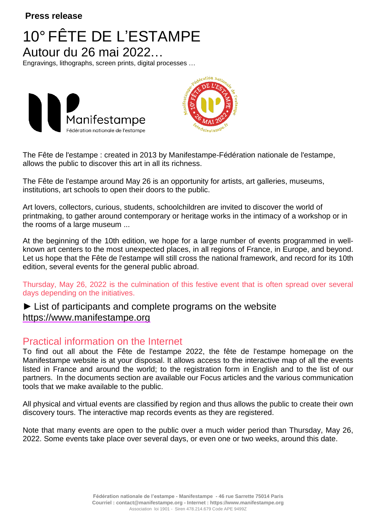#### **Press release**

## 10° FÊTE DE L'ESTAMPE Autour du 26 mai 2022…

Engravings, lithographs, screen prints, digital processes …





The Fête de l'estampe : created in 2013 by Manifestampe-Fédération nationale de l'estampe, allows the public to discover this art in all its richness.

The Fête de l'estampe around May 26 is an opportunity for artists, art galleries, museums, institutions, art schools to open their doors to the public.

Art lovers, collectors, curious, students, schoolchildren are invited to discover the world of printmaking, to gather around contemporary or heritage works in the intimacy of a workshop or in the rooms of a large museum ...

At the beginning of the 10th edition, we hope for a large number of events programmed in wellknown art centers to the most unexpected places, in all regions of France, in Europe, and beyond. Let us hope that the Fête de l'estampe will still cross the national framework, and record for its 10th edition, several events for the general public abroad.

Thursday, May 26, 2022 is the culmination of this festive event that is often spread over several days depending on the initiatives.

#### ► List of participants and complete programs on the website [https://www.manifestampe.org](https://www.manifestampe.org/)

#### Practical information on the Internet

To find out all about the Fête de l'estampe 2022, the fête de l'estampe homepage on the Manifestampe website is at your disposal. It allows access to the interactive map of all the events listed in France and around the world; to the registration form in English and to the list of our partners. In the documents section are available our Focus articles and the various communication tools that we make available to the public.

All physical and virtual events are classified by region and thus allows the public to create their own discovery tours. The interactive map records events as they are registered.

Note that many events are open to the public over a much wider period than Thursday, May 26, 2022. Some events take place over several days, or even one or two weeks, around this date.